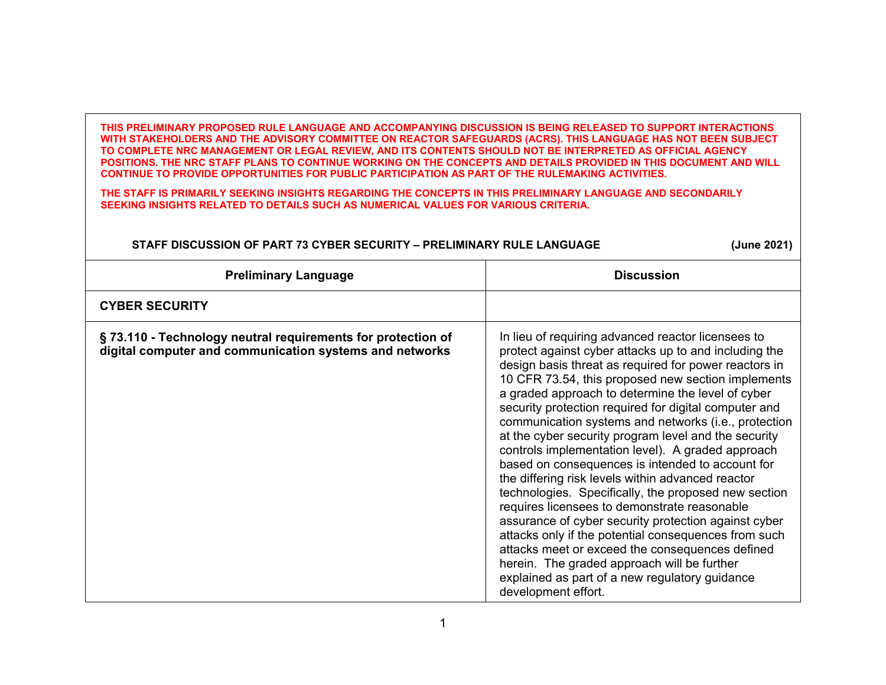**THIS PRELIMINARY PROPOSED RULE LANGUAGE AND ACCOMPANYING DISCUSSION IS BEING RELEASED TO SUPPORT INTERACTIONS WITH STAKEHOLDERS AND THE ADVISORY COMMITTEE ON REACTOR SAFEGUARDS (ACRS). THIS LANGUAGE HAS NOT BEEN SUBJECT TO COMPLETE NRC MANAGEMENT OR LEGAL REVIEW, AND ITS CONTENTS SHOULD NOT BE INTERPRETED AS OFFICIAL AGENCY POSITIONS. THE NRC STAFF PLANS TO CONTINUE WORKING ON THE CONCEPTS AND DETAILS PROVIDED IN THIS DOCUMENT AND WILL CONTINUE TO PROVIDE OPPORTUNITIES FOR PUBLIC PARTICIPATION AS PART OF THE RULEMAKING ACTIVITIES.**

**THE STAFF IS PRIMARILY SEEKING INSIGHTS REGARDING THE CONCEPTS IN THIS PRELIMINARY LANGUAGE AND SECONDARILY SEEKING INSIGHTS RELATED TO DETAILS SUCH AS NUMERICAL VALUES FOR VARIOUS CRITERIA.** 

## **STAFF DISCUSSION OF PART 73 CYBER SECURITY – PRELIMINARY RULE LANGUAGE (June 2021)**

| <b>Preliminary Language</b>                                                                                            | <b>Discussion</b>                                                                                                                                                                                                                                                                                                                                                                                                                                                                                                                                                                                                                                                                                                                                                                                                                                                                                                                                                                                                         |
|------------------------------------------------------------------------------------------------------------------------|---------------------------------------------------------------------------------------------------------------------------------------------------------------------------------------------------------------------------------------------------------------------------------------------------------------------------------------------------------------------------------------------------------------------------------------------------------------------------------------------------------------------------------------------------------------------------------------------------------------------------------------------------------------------------------------------------------------------------------------------------------------------------------------------------------------------------------------------------------------------------------------------------------------------------------------------------------------------------------------------------------------------------|
| <b>CYBER SECURITY</b>                                                                                                  |                                                                                                                                                                                                                                                                                                                                                                                                                                                                                                                                                                                                                                                                                                                                                                                                                                                                                                                                                                                                                           |
| §73.110 - Technology neutral requirements for protection of<br>digital computer and communication systems and networks | In lieu of requiring advanced reactor licensees to<br>protect against cyber attacks up to and including the<br>design basis threat as required for power reactors in<br>10 CFR 73.54, this proposed new section implements<br>a graded approach to determine the level of cyber<br>security protection required for digital computer and<br>communication systems and networks (i.e., protection<br>at the cyber security program level and the security<br>controls implementation level). A graded approach<br>based on consequences is intended to account for<br>the differing risk levels within advanced reactor<br>technologies. Specifically, the proposed new section<br>requires licensees to demonstrate reasonable<br>assurance of cyber security protection against cyber<br>attacks only if the potential consequences from such<br>attacks meet or exceed the consequences defined<br>herein. The graded approach will be further<br>explained as part of a new regulatory guidance<br>development effort. |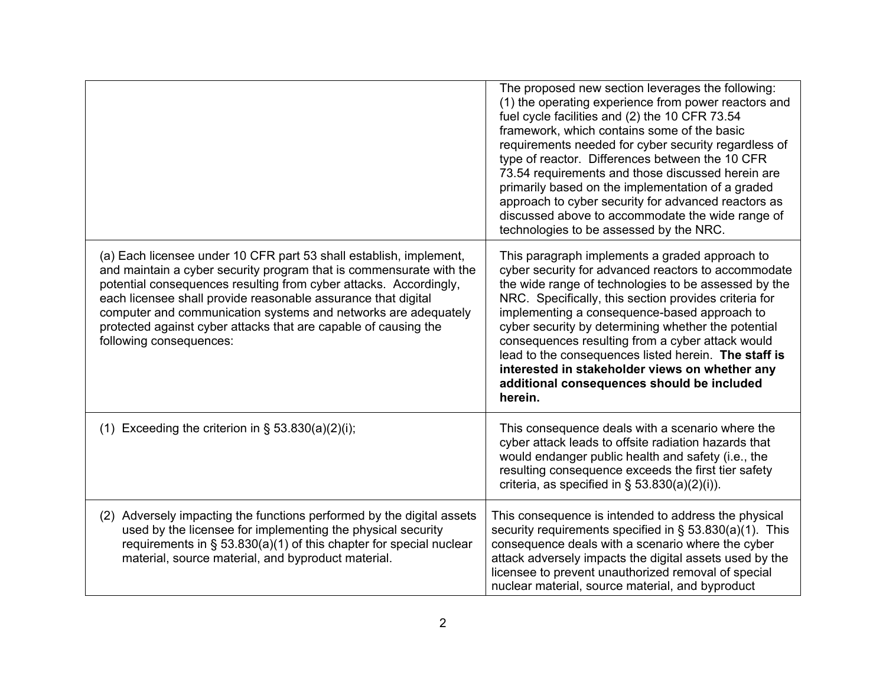|                                                                                                                                                                                                                                                                                                                                                                                                                                                 | The proposed new section leverages the following:<br>(1) the operating experience from power reactors and<br>fuel cycle facilities and (2) the 10 CFR 73.54<br>framework, which contains some of the basic<br>requirements needed for cyber security regardless of<br>type of reactor. Differences between the 10 CFR<br>73.54 requirements and those discussed herein are<br>primarily based on the implementation of a graded<br>approach to cyber security for advanced reactors as<br>discussed above to accommodate the wide range of<br>technologies to be assessed by the NRC. |
|-------------------------------------------------------------------------------------------------------------------------------------------------------------------------------------------------------------------------------------------------------------------------------------------------------------------------------------------------------------------------------------------------------------------------------------------------|---------------------------------------------------------------------------------------------------------------------------------------------------------------------------------------------------------------------------------------------------------------------------------------------------------------------------------------------------------------------------------------------------------------------------------------------------------------------------------------------------------------------------------------------------------------------------------------|
| (a) Each licensee under 10 CFR part 53 shall establish, implement,<br>and maintain a cyber security program that is commensurate with the<br>potential consequences resulting from cyber attacks. Accordingly,<br>each licensee shall provide reasonable assurance that digital<br>computer and communication systems and networks are adequately<br>protected against cyber attacks that are capable of causing the<br>following consequences: | This paragraph implements a graded approach to<br>cyber security for advanced reactors to accommodate<br>the wide range of technologies to be assessed by the<br>NRC. Specifically, this section provides criteria for<br>implementing a consequence-based approach to<br>cyber security by determining whether the potential<br>consequences resulting from a cyber attack would<br>lead to the consequences listed herein. The staff is<br>interested in stakeholder views on whether any<br>additional consequences should be included<br>herein.                                  |
| (1) Exceeding the criterion in $\S$ 53.830(a)(2)(i);                                                                                                                                                                                                                                                                                                                                                                                            | This consequence deals with a scenario where the<br>cyber attack leads to offsite radiation hazards that<br>would endanger public health and safety (i.e., the<br>resulting consequence exceeds the first tier safety<br>criteria, as specified in $\S$ 53.830(a)(2)(i)).                                                                                                                                                                                                                                                                                                             |
| (2) Adversely impacting the functions performed by the digital assets<br>used by the licensee for implementing the physical security<br>requirements in $\S$ 53.830(a)(1) of this chapter for special nuclear<br>material, source material, and byproduct material.                                                                                                                                                                             | This consequence is intended to address the physical<br>security requirements specified in § 53.830(a)(1). This<br>consequence deals with a scenario where the cyber<br>attack adversely impacts the digital assets used by the<br>licensee to prevent unauthorized removal of special<br>nuclear material, source material, and byproduct                                                                                                                                                                                                                                            |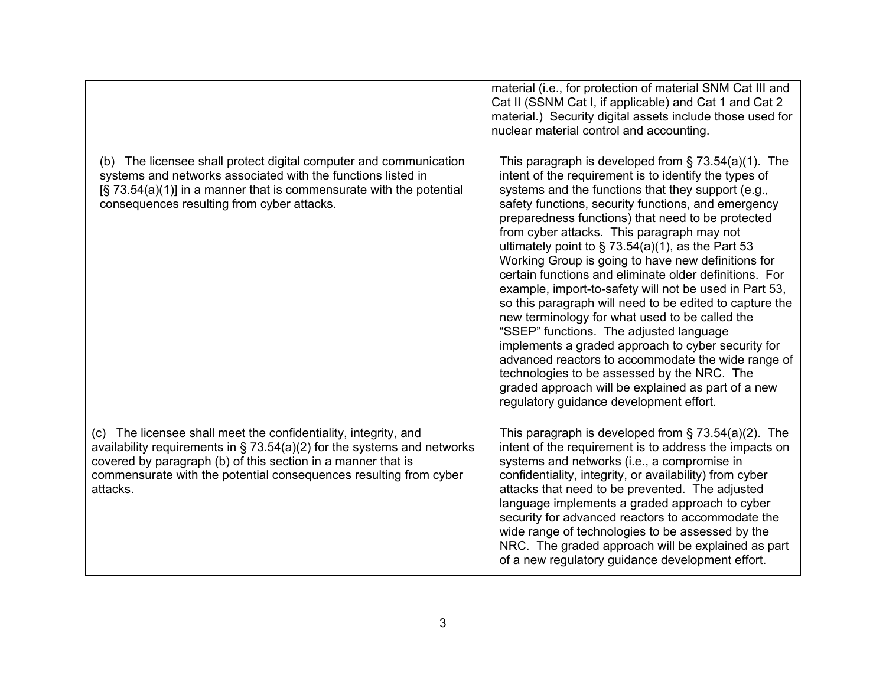|                                                                                                                                                                                                                                                                                                | material (i.e., for protection of material SNM Cat III and<br>Cat II (SSNM Cat I, if applicable) and Cat 1 and Cat 2<br>material.) Security digital assets include those used for<br>nuclear material control and accounting.                                                                                                                                                                                                                                                                                                                                                                                                                                                                                                                                                                                                                                                                                                                                                         |
|------------------------------------------------------------------------------------------------------------------------------------------------------------------------------------------------------------------------------------------------------------------------------------------------|---------------------------------------------------------------------------------------------------------------------------------------------------------------------------------------------------------------------------------------------------------------------------------------------------------------------------------------------------------------------------------------------------------------------------------------------------------------------------------------------------------------------------------------------------------------------------------------------------------------------------------------------------------------------------------------------------------------------------------------------------------------------------------------------------------------------------------------------------------------------------------------------------------------------------------------------------------------------------------------|
| (b) The licensee shall protect digital computer and communication<br>systems and networks associated with the functions listed in<br>$[\S$ 73.54(a)(1)] in a manner that is commensurate with the potential<br>consequences resulting from cyber attacks.                                      | This paragraph is developed from $\S$ 73.54(a)(1). The<br>intent of the requirement is to identify the types of<br>systems and the functions that they support (e.g.,<br>safety functions, security functions, and emergency<br>preparedness functions) that need to be protected<br>from cyber attacks. This paragraph may not<br>ultimately point to $\S$ 73.54(a)(1), as the Part 53<br>Working Group is going to have new definitions for<br>certain functions and eliminate older definitions. For<br>example, import-to-safety will not be used in Part 53,<br>so this paragraph will need to be edited to capture the<br>new terminology for what used to be called the<br>"SSEP" functions. The adjusted language<br>implements a graded approach to cyber security for<br>advanced reactors to accommodate the wide range of<br>technologies to be assessed by the NRC. The<br>graded approach will be explained as part of a new<br>regulatory guidance development effort. |
| (c) The licensee shall meet the confidentiality, integrity, and<br>availability requirements in $\S$ 73.54(a)(2) for the systems and networks<br>covered by paragraph (b) of this section in a manner that is<br>commensurate with the potential consequences resulting from cyber<br>attacks. | This paragraph is developed from $\S$ 73.54(a)(2). The<br>intent of the requirement is to address the impacts on<br>systems and networks (i.e., a compromise in<br>confidentiality, integrity, or availability) from cyber<br>attacks that need to be prevented. The adjusted<br>language implements a graded approach to cyber<br>security for advanced reactors to accommodate the<br>wide range of technologies to be assessed by the<br>NRC. The graded approach will be explained as part<br>of a new regulatory guidance development effort.                                                                                                                                                                                                                                                                                                                                                                                                                                    |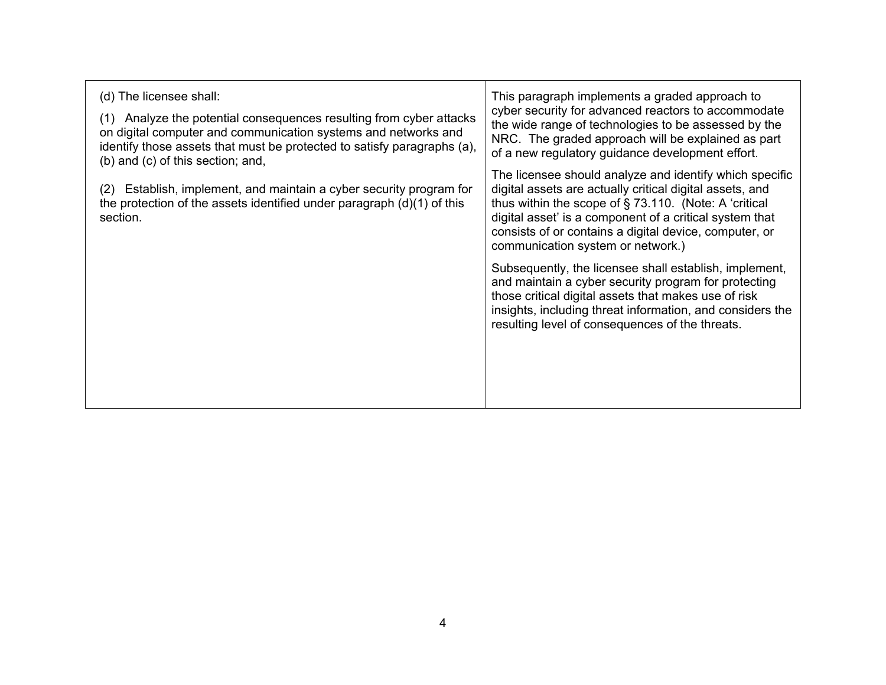| This paragraph implements a graded approach to<br>cyber security for advanced reactors to accommodate<br>the wide range of technologies to be assessed by the<br>NRC. The graded approach will be explained as part<br>of a new regulatory guidance development effort.                                                                   |
|-------------------------------------------------------------------------------------------------------------------------------------------------------------------------------------------------------------------------------------------------------------------------------------------------------------------------------------------|
| The licensee should analyze and identify which specific<br>digital assets are actually critical digital assets, and<br>thus within the scope of $\S$ 73.110. (Note: A 'critical<br>digital asset' is a component of a critical system that<br>consists of or contains a digital device, computer, or<br>communication system or network.) |
| Subsequently, the licensee shall establish, implement,<br>and maintain a cyber security program for protecting<br>those critical digital assets that makes use of risk<br>insights, including threat information, and considers the<br>resulting level of consequences of the threats.                                                    |
|                                                                                                                                                                                                                                                                                                                                           |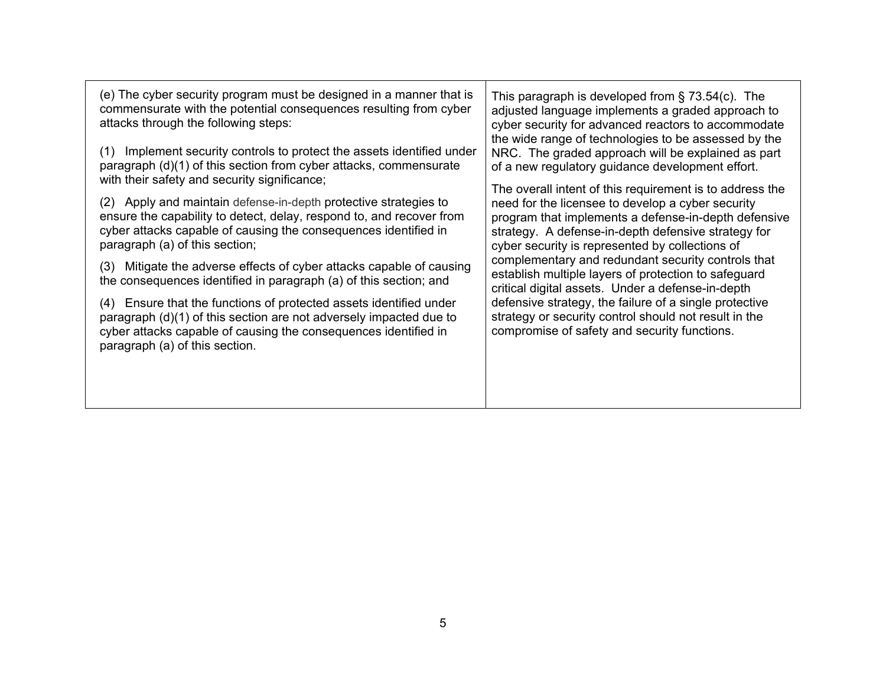| (e) The cyber security program must be designed in a manner that is<br>commensurate with the potential consequences resulting from cyber<br>attacks through the following steps:                                                              | This paragraph is developed from $\S$ 73.54(c). The<br>adjusted language implements a graded approach to<br>cyber security for advanced reactors to accommodate<br>the wide range of technologies to be assessed by the |
|-----------------------------------------------------------------------------------------------------------------------------------------------------------------------------------------------------------------------------------------------|-------------------------------------------------------------------------------------------------------------------------------------------------------------------------------------------------------------------------|
| Implement security controls to protect the assets identified under<br>(1)<br>paragraph (d)(1) of this section from cyber attacks, commensurate<br>with their safety and security significance;                                                | NRC. The graded approach will be explained as part<br>of a new regulatory guidance development effort.<br>The overall intent of this requirement is to address the                                                      |
| (2) Apply and maintain defense-in-depth protective strategies to<br>ensure the capability to detect, delay, respond to, and recover from<br>cyber attacks capable of causing the consequences identified in<br>paragraph (a) of this section; | need for the licensee to develop a cyber security<br>program that implements a defense-in-depth defensive<br>strategy. A defense-in-depth defensive strategy for<br>cyber security is represented by collections of     |
| (3) Mitigate the adverse effects of cyber attacks capable of causing<br>the consequences identified in paragraph (a) of this section; and                                                                                                     | complementary and redundant security controls that<br>establish multiple layers of protection to safeguard<br>critical digital assets. Under a defense-in-depth                                                         |
| (4) Ensure that the functions of protected assets identified under<br>paragraph (d)(1) of this section are not adversely impacted due to<br>cyber attacks capable of causing the consequences identified in<br>paragraph (a) of this section. | defensive strategy, the failure of a single protective<br>strategy or security control should not result in the<br>compromise of safety and security functions.                                                         |
|                                                                                                                                                                                                                                               |                                                                                                                                                                                                                         |

┯